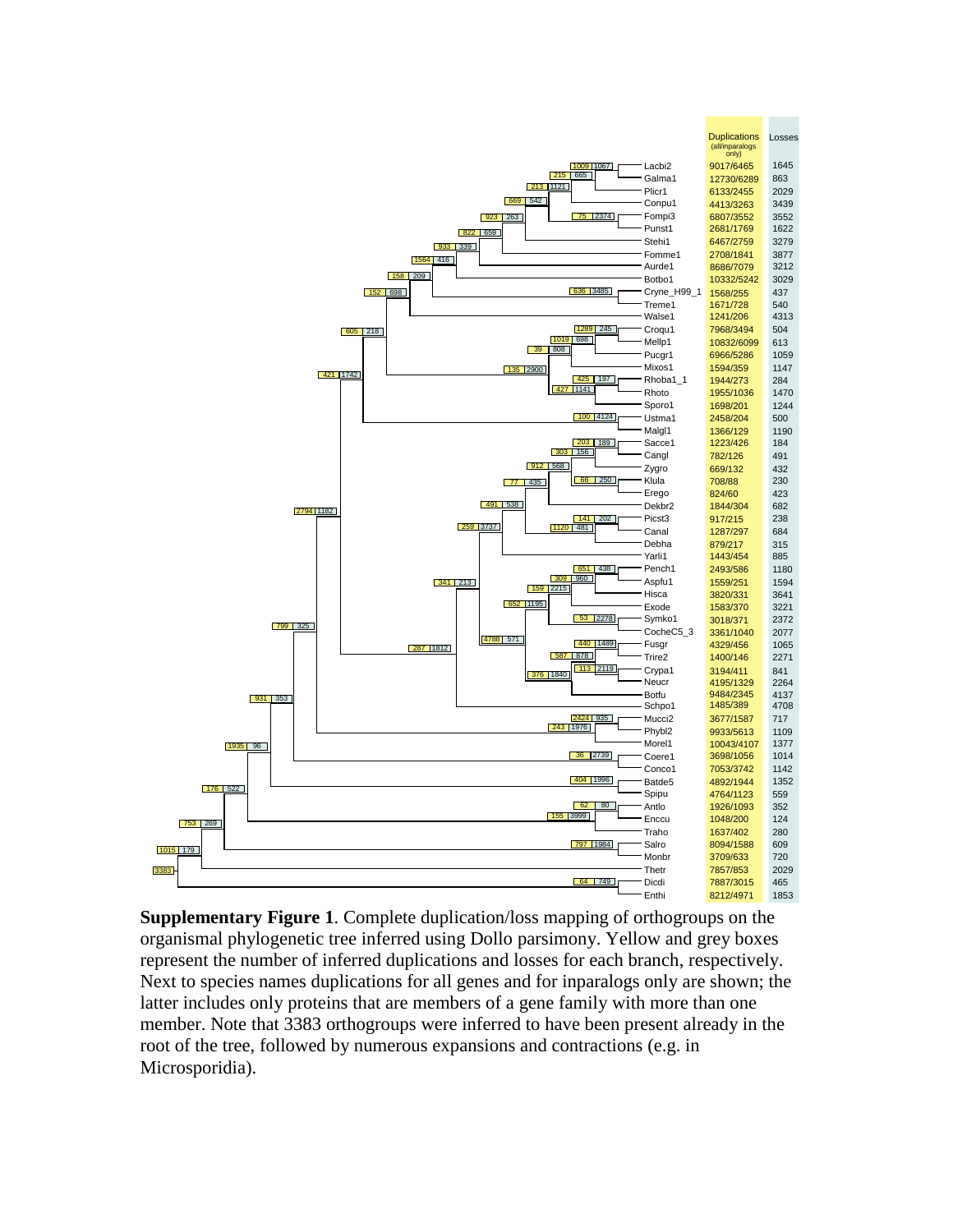

**Supplementary Figure 1**. Complete duplication/loss mapping of orthogroups on the organismal phylogenetic tree inferred using Dollo parsimony. Yellow and grey boxes represent the number of inferred duplications and losses for each branch, respectively. Next to species names duplications for all genes and for inparalogs only are shown; the latter includes only proteins that are members of a gene family with more than one member. Note that 3383 orthogroups were inferred to have been present already in the root of the tree, followed by numerous expansions and contractions (e.g. in Microsporidia).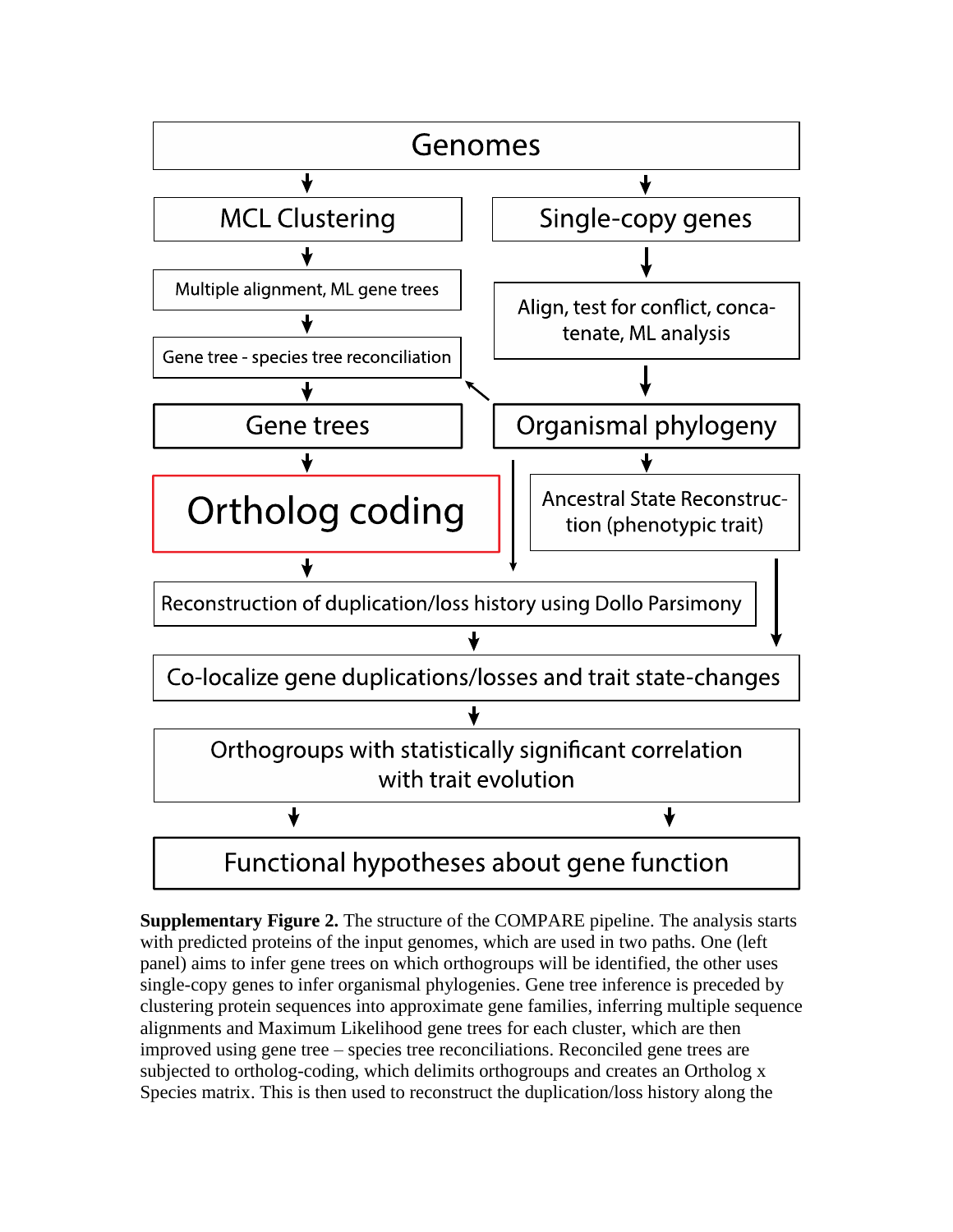

**Supplementary Figure 2.** The structure of the COMPARE pipeline. The analysis starts with predicted proteins of the input genomes, which are used in two paths. One (left panel) aims to infer gene trees on which orthogroups will be identified, the other uses single-copy genes to infer organismal phylogenies. Gene tree inference is preceded by clustering protein sequences into approximate gene families, inferring multiple sequence alignments and Maximum Likelihood gene trees for each cluster, which are then improved using gene tree – species tree reconciliations. Reconciled gene trees are subjected to ortholog-coding, which delimits orthogroups and creates an Ortholog x Species matrix. This is then used to reconstruct the duplication/loss history along the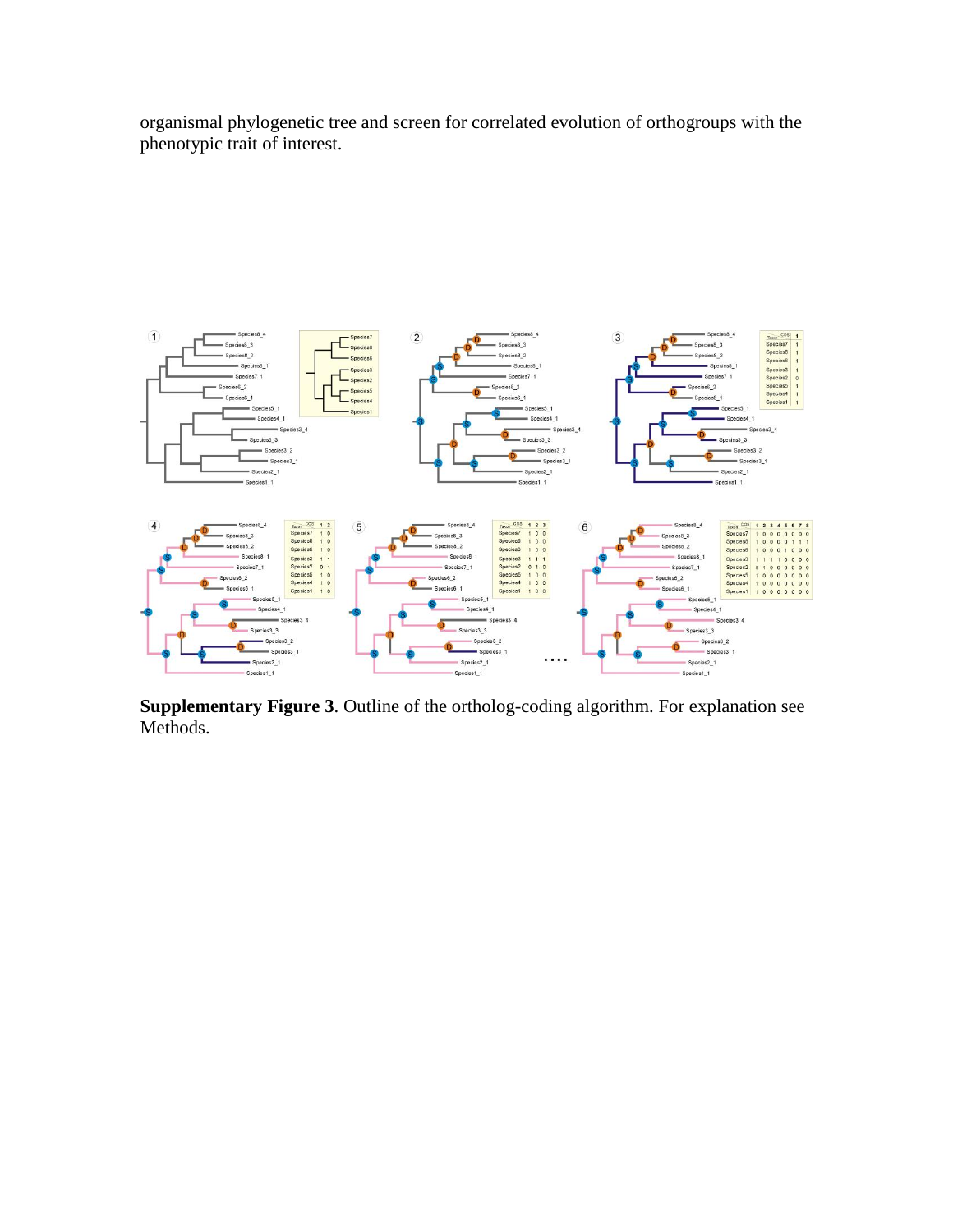organismal phylogenetic tree and screen for correlated evolution of orthogroups with the phenotypic trait of interest.



**Supplementary Figure 3**. Outline of the ortholog-coding algorithm. For explanation see Methods.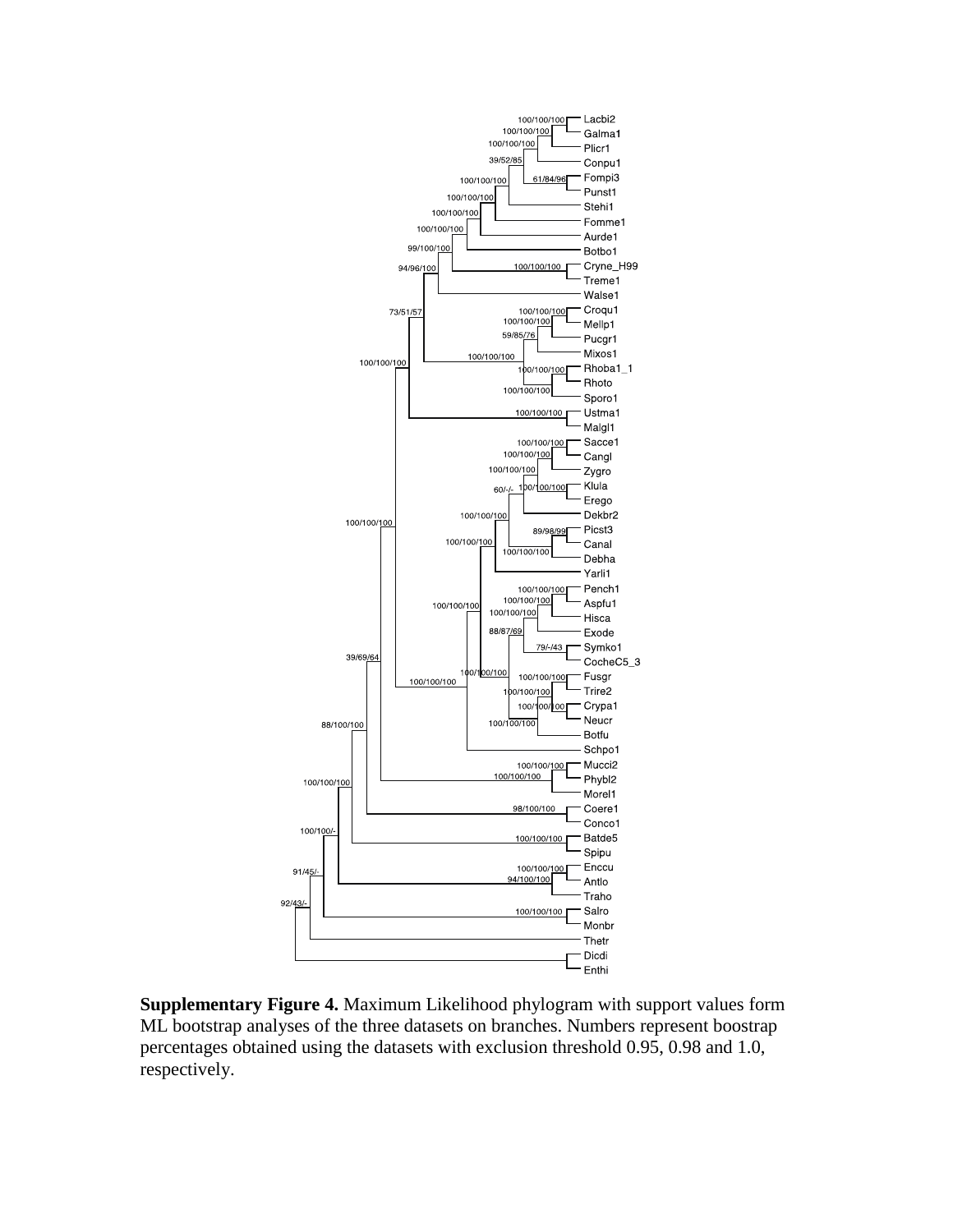

**Supplementary Figure 4.** Maximum Likelihood phylogram with support values form ML bootstrap analyses of the three datasets on branches. Numbers represent boostrap percentages obtained using the datasets with exclusion threshold 0.95, 0.98 and 1.0, respectively.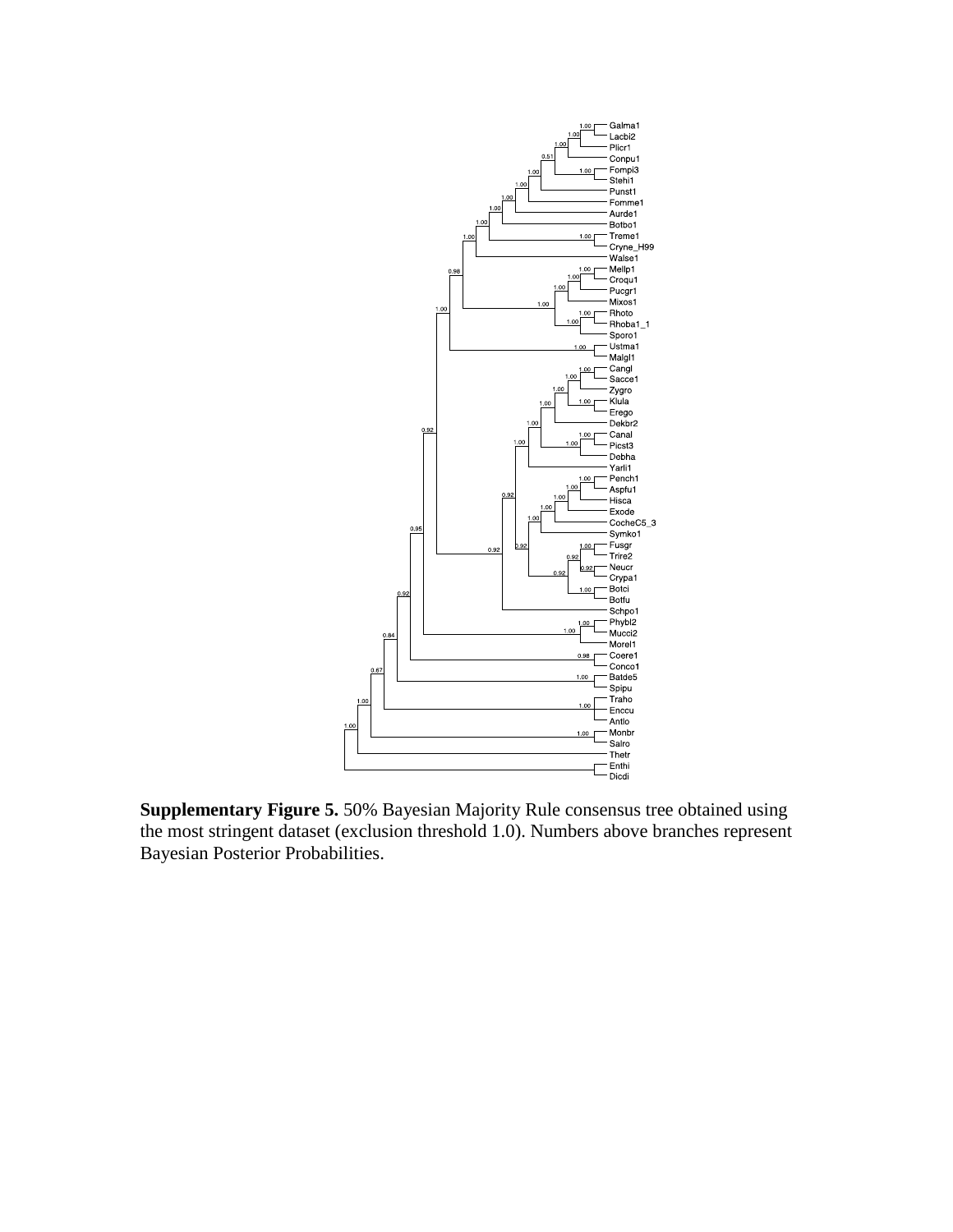

**Supplementary Figure 5.** 50% Bayesian Majority Rule consensus tree obtained using the most stringent dataset (exclusion threshold 1.0). Numbers above branches represent Bayesian Posterior Probabilities.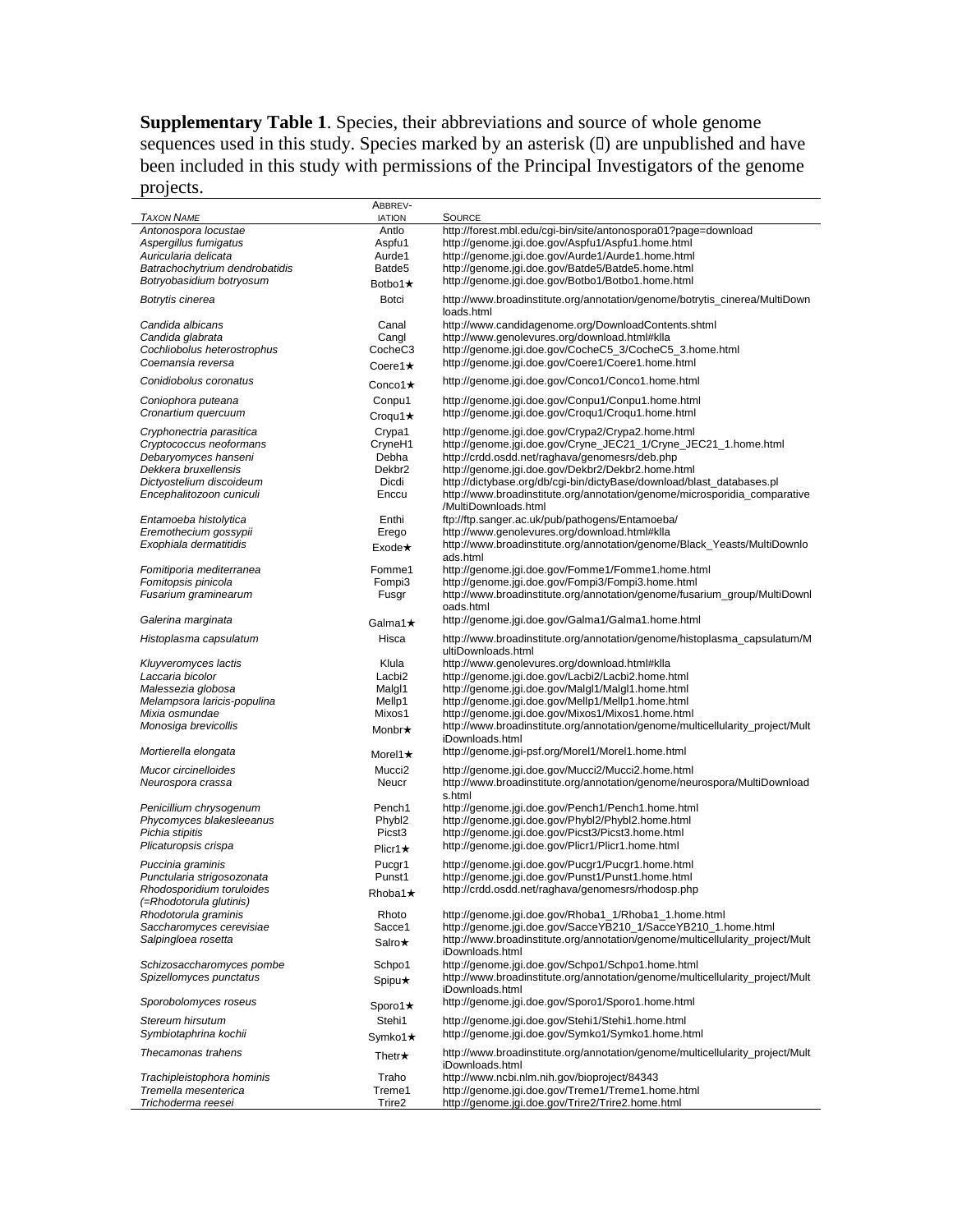**Supplementary Table 1**. Species, their abbreviations and source of whole genome sequences used in this study. Species marked by an asterisk  $(D)$  are unpublished and have been included in this study with permissions of the Principal Investigators of the genome projects.

| <b>TAXON NAME</b>              | ABBREV-<br><b>IATION</b> | <b>SOURCE</b>                                                                                    |
|--------------------------------|--------------------------|--------------------------------------------------------------------------------------------------|
| Antonospora locustae           | Antlo                    | http://forest.mbl.edu/cgi-bin/site/antonospora01?page=download                                   |
| Aspergillus fumigatus          | Aspfu1                   | http://genome.jgi.doe.gov/Aspfu1/Aspfu1.home.html                                                |
| Auricularia delicata           | Aurde1                   | http://genome.jgi.doe.gov/Aurde1/Aurde1.home.html                                                |
| Batrachochytrium dendrobatidis | Batde <sub>5</sub>       | http://genome.jgi.doe.gov/Batde5/Batde5.home.html                                                |
| Botryobasidium botryosum       | Botbo1 $\star$           | http://genome.jgi.doe.gov/Botbo1/Botbo1.home.html                                                |
| Botrytis cinerea               | Botci                    | http://www.broadinstitute.org/annotation/genome/botrytis_cinerea/MultiDown<br>loads.html         |
| Candida albicans               | Canal                    | http://www.candidagenome.org/DownloadContents.shtml                                              |
| Candida glabrata               | Cangl                    | http://www.genolevures.org/download.html#klla                                                    |
| Cochliobolus heterostrophus    | CocheC <sub>3</sub>      | http://genome.jgi.doe.gov/CocheC5_3/CocheC5_3.home.html                                          |
| Coemansia reversa              | Coere1 $\star$           | http://genome.jgi.doe.gov/Coere1/Coere1.home.html                                                |
| Conidiobolus coronatus         | Conco1 $\star$           | http://genome.jgi.doe.gov/Conco1/Conco1.home.html                                                |
| Coniophora puteana             | Conpu1                   | http://genome.jgi.doe.gov/Conpu1/Conpu1.home.html                                                |
| Cronartium quercuum            | Croqu1 $\star$           | http://genome.jgi.doe.gov/Croqu1/Croqu1.home.html                                                |
|                                |                          |                                                                                                  |
| Cryphonectria parasitica       | Crypa1                   | http://genome.jgi.doe.gov/Crypa2/Crypa2.home.html                                                |
| Cryptococcus neoformans        | CryneH1                  | http://genome.jgi.doe.gov/Cryne_JEC21_1/Cryne_JEC21_1.home.html                                  |
| Debaryomyces hanseni           | Debha                    | http://crdd.osdd.net/raghava/genomesrs/deb.php                                                   |
| Dekkera bruxellensis           | Dekbr <sub>2</sub>       | http://genome.jgi.doe.gov/Dekbr2/Dekbr2.home.html                                                |
| Dictyostelium discoideum       | Dicdi                    | http://dictybase.org/db/cgi-bin/dictyBase/download/blast_databases.pl                            |
| Encephalitozoon cuniculi       | Enccu                    | http://www.broadinstitute.org/annotation/genome/microsporidia_comparative                        |
|                                |                          | /MultiDownloads.html                                                                             |
| Entamoeba histolytica          | Enthi                    | ftp://ftp.sanger.ac.uk/pub/pathogens/Entamoeba/                                                  |
| Eremothecium gossypii          | Erego                    | http://www.genolevures.org/download.html#klla                                                    |
| Exophiala dermatitidis         | $Exode\star$             | http://www.broadinstitute.org/annotation/genome/Black_Yeasts/MultiDownlo                         |
|                                |                          | ads.html                                                                                         |
| Fomitiporia mediterranea       | Fomme1                   | http://genome.jgi.doe.gov/Fomme1/Fomme1.home.html                                                |
| Fomitopsis pinicola            | Fompi3                   | http://genome.jgi.doe.gov/Fompi3/Fompi3.home.html                                                |
| Fusarium graminearum           | Fusgr                    | http://www.broadinstitute.org/annotation/genome/fusarium_group/MultiDownl<br>oads.html           |
| Galerina marginata             | Galma1★                  | http://genome.jgi.doe.gov/Galma1/Galma1.home.html                                                |
| Histoplasma capsulatum         | Hisca                    | http://www.broadinstitute.org/annotation/genome/histoplasma_capsulatum/M                         |
|                                |                          | ultiDownloads.html                                                                               |
| Kluyveromyces lactis           | Klula                    | http://www.genolevures.org/download.html#klla                                                    |
| Laccaria bicolor               | Lacbi <sub>2</sub>       | http://genome.jgi.doe.gov/Lacbi2/Lacbi2.home.html                                                |
| Malessezia globosa             | Malgl1                   | http://genome.jgi.doe.gov/Malgl1/Malgl1.home.html                                                |
| Melampsora laricis-populina    | Mellp1                   | http://genome.jgi.doe.gov/Mellp1/Mellp1.home.html                                                |
| Mixia osmundae                 | Mixos1                   | http://genome.jgi.doe.gov/Mixos1/Mixos1.home.html                                                |
| Monosiga brevicollis           | Monbr★                   | http://www.broadinstitute.org/annotation/genome/multicellularity_project/Mult                    |
|                                |                          | iDownloads.html                                                                                  |
| Mortierella elongata           | Morel1 $\star$           | http://genome.jgi-psf.org/Morel1/Morel1.home.html                                                |
| Mucor circinelloides           | Mucci <sub>2</sub>       | http://genome.jgi.doe.gov/Mucci2/Mucci2.home.html                                                |
| Neurospora crassa              | Neucr                    | http://www.broadinstitute.org/annotation/genome/neurospora/MultiDownload                         |
|                                |                          | s.html                                                                                           |
| Penicillium chrysogenum        | Pench1                   | http://genome.jgi.doe.gov/Pench1/Pench1.home.html                                                |
| Phycomyces blakesleeanus       | Phybl2                   | http://genome.jgi.doe.gov/Phybl2/Phybl2.home.html                                                |
| Pichia stipitis                | Picst <sub>3</sub>       | http://genome.jgi.doe.gov/Picst3/Picst3.home.html                                                |
| Plicaturopsis crispa           | Plicr1 $\star$           | http://genome.jgi.doe.gov/Plicr1/Plicr1.home.html                                                |
| Puccinia graminis              | Pucgr1                   | http://genome.jgi.doe.gov/Pucgr1/Pucgr1.home.html                                                |
| Punctularia strigosozonata     | Punst1                   | http://genome.jgi.doe.gov/Punst1/Punst1.home.html                                                |
| Rhodosporidium toruloides      | Rhoba1★                  | http://crdd.osdd.net/raghava/genomesrs/rhodosp.php                                               |
| (=Rhodotorula glutinis)        |                          |                                                                                                  |
| Rhodotorula graminis           | Rhoto                    | http://genome.jgi.doe.gov/Rhoba1_1/Rhoba1_1.home.html                                            |
| Saccharomyces cerevisiae       | Sacce1                   | http://genome.jgi.doe.gov/SacceYB210_1/SacceYB210_1.home.html                                    |
| Salpingloea rosetta            | Salro★                   | http://www.broadinstitute.org/annotation/genome/multicellularity_project/Mult<br>iDownloads.html |
| Schizosaccharomyces pombe      | Schpo1                   | http://genome.jgi.doe.gov/Schpo1/Schpo1.home.html                                                |
| Spizellomyces punctatus        |                          | http://www.broadinstitute.org/annotation/genome/multicellularity_project/Mult                    |
|                                | Spipu★                   | iDownloads.html                                                                                  |
| Sporobolomyces roseus          | Sporo1 $\star$           | http://genome.jgi.doe.gov/Sporo1/Sporo1.home.html                                                |
| Stereum hirsutum               | Stehi1                   | http://genome.jgi.doe.gov/Stehi1/Stehi1.home.html                                                |
|                                |                          |                                                                                                  |
| Symbiotaphrina kochii          | Symko1★                  | http://genome.jgi.doe.gov/Symko1/Symko1.home.html                                                |
| Thecamonas trahens             | Thetr $\star$            | http://www.broadinstitute.org/annotation/genome/multicellularity_project/Mult<br>iDownloads.html |
| Trachipleistophora hominis     | Traho                    | http://www.ncbi.nlm.nih.gov/bioproject/84343                                                     |
| Tremella mesenterica           | Treme1                   | http://genome.jgi.doe.gov/Treme1/Treme1.home.html                                                |
| Trichoderma reesei             | Trire2                   | http://genome.jgi.doe.gov/Trire2/Trire2.home.html                                                |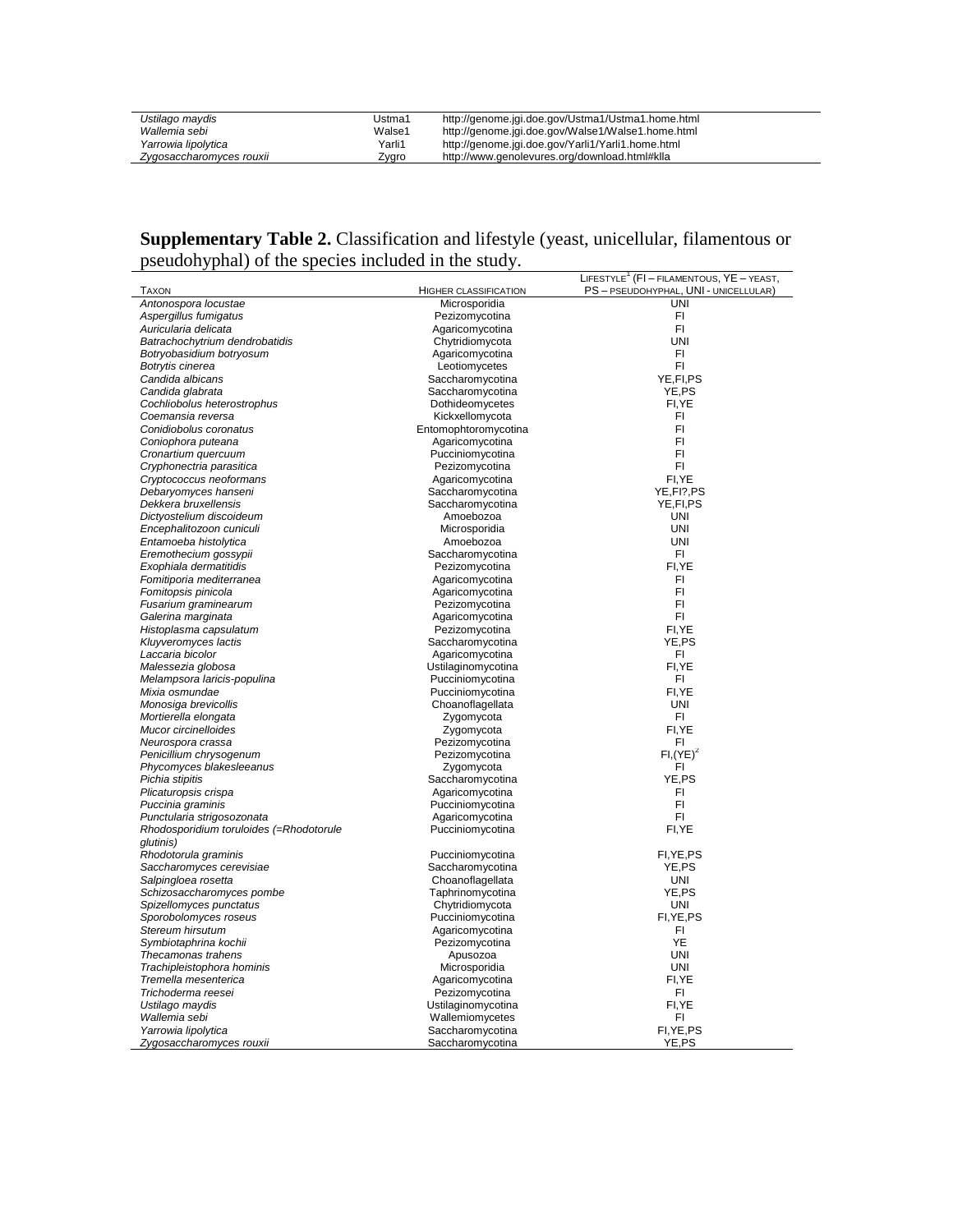| Ustilago maydis          | Ustma1 | http://genome.jgi.doe.gov/Ustma1/Ustma1.home.html |
|--------------------------|--------|---------------------------------------------------|
| Wallemia sebi            | Walse1 | http://genome.jgi.doe.gov/Walse1/Walse1.home.html |
| Yarrowia lipolytica      | Yarli1 | http://genome.jgi.doe.gov/Yarli1/Yarli1.home.html |
| Zygosaccharomyces rouxii | Zygro  | http://www.genolevures.org/download.html#klla     |

## **Supplementary Table 2.** Classification and lifestyle (yeast, unicellular, filamentous or pseudohyphal) of the species included in the study.

|                                         |                       | LIFESTYLE <sup>1</sup> (FI – FILAMENTOUS, YE – YEAST, |
|-----------------------------------------|-----------------------|-------------------------------------------------------|
| TAXON                                   | HIGHER CLASSIFICATION | PS - PSEUDOHYPHAL, UNI - UNICELLULAR)                 |
| Antonospora locustae                    | Microsporidia         | UNI                                                   |
| Aspergillus fumigatus                   | Pezizomycotina        | FI.                                                   |
| Auricularia delicata                    | Agaricomycotina       | FI.                                                   |
| Batrachochytrium dendrobatidis          | Chytridiomycota       | <b>UNI</b>                                            |
| Botryobasidium botryosum                | Agaricomycotina       | FI.                                                   |
| Botrytis cinerea                        | Leotiomycetes         | FI                                                    |
| Candida albicans                        | Saccharomycotina      | YE, FI, PS                                            |
| Candida glabrata                        | Saccharomycotina      | YE,PS                                                 |
| Cochliobolus heterostrophus             | Dothideomycetes       | FI, YE                                                |
| Coemansia reversa                       | Kickxellomycota       | FI.                                                   |
| Conidiobolus coronatus                  | Entomophtoromycotina  | F1                                                    |
| Coniophora puteana                      | Agaricomycotina       | FI                                                    |
| Cronartium quercuum                     | Pucciniomycotina      | FI                                                    |
| Cryphonectria parasitica                | Pezizomycotina        | FI.                                                   |
| Cryptococcus neoformans                 | Agaricomycotina       | FI.YE                                                 |
| Debaryomyces hanseni                    | Saccharomycotina      | YE, FI?, PS                                           |
| Dekkera bruxellensis                    | Saccharomycotina      | YE, FI, PS                                            |
| Dictyostelium discoideum                | Amoebozoa             | UNI                                                   |
| Encephalitozoon cuniculi                | Microsporidia         | <b>UNI</b>                                            |
| Entamoeba histolytica                   | Amoebozoa             | <b>UNI</b>                                            |
| Eremothecium gossypii                   | Saccharomycotina      | FI.                                                   |
| Exophiala dermatitidis                  | Pezizomycotina        | FI, YE                                                |
| Fomitiporia mediterranea                | Agaricomycotina       | FI                                                    |
| Fomitopsis pinicola                     | Agaricomycotina       | FI.                                                   |
| Fusarium graminearum                    | Pezizomycotina        | FI                                                    |
| Galerina marginata                      | Agaricomycotina       | FI                                                    |
| Histoplasma capsulatum                  | Pezizomycotina        | FI, YE                                                |
| Kluyveromyces lactis                    | Saccharomycotina      | YE,PS                                                 |
| Laccaria bicolor                        | Agaricomycotina       | FI                                                    |
| Malessezia globosa                      | Ustilaginomycotina    | FI.YE                                                 |
| Melampsora laricis-populina             | Pucciniomycotina      | FI.                                                   |
| Mixia osmundae                          | Pucciniomycotina      | FI, YE                                                |
| Monosiga brevicollis                    | Choanoflagellata      | <b>UNI</b>                                            |
| Mortierella elongata                    | Zygomycota            | FI                                                    |
| Mucor circinelloides                    | Zygomycota            | FI.YE                                                 |
| Neurospora crassa                       | Pezizomycotina        | FI                                                    |
| Penicillium chrysogenum                 | Pezizomycotina        | $FI,(YE)^2$                                           |
| Phycomyces blakesleeanus                | Zygomycota            | FI                                                    |
| Pichia stipitis                         | Saccharomycotina      | YE,PS                                                 |
| Plicaturopsis crispa                    | Agaricomycotina       | FI                                                    |
| Puccinia graminis                       | Pucciniomycotina      | FI                                                    |
| Punctularia strigosozonata              | Agaricomycotina       | FI.                                                   |
| Rhodosporidium toruloides (=Rhodotorule | Pucciniomycotina      | FI, YE                                                |
| qlutinis)                               |                       |                                                       |
| Rhodotorula graminis                    | Pucciniomycotina      | FI, YE, PS                                            |
| Saccharomyces cerevisiae                | Saccharomycotina      | YE.PS                                                 |
| Salpingloea rosetta                     | Choanoflagellata      | <b>UNI</b>                                            |
| Schizosaccharomyces pombe               | Taphrinomycotina      | YE,PS                                                 |
| Spizellomyces punctatus                 | Chytridiomycota       | <b>UNI</b>                                            |
| Sporobolomyces roseus                   | Pucciniomycotina      | FI, YE, PS                                            |
| Stereum hirsutum                        | Agaricomycotina       | FI.                                                   |
| Symbiotaphrina kochii                   | Pezizomycotina        | YE                                                    |
| Thecamonas trahens                      | Apusozoa              | <b>UNI</b>                                            |
| Trachipleistophora hominis              | Microsporidia         | UNI                                                   |
| Tremella mesenterica                    | Agaricomycotina       | FI, YE                                                |
| Trichoderma reesei                      | Pezizomycotina        | FI.                                                   |
| Ustilago maydis                         | Ustilaginomycotina    | FI, YE                                                |
| Wallemia sebi                           | Wallemiomycetes       | FI                                                    |
| Yarrowia lipolytica                     | Saccharomycotina      | FI, YE, PS                                            |
| Zygosaccharomyces rouxii                | Saccharomycotina      | YE,PS                                                 |